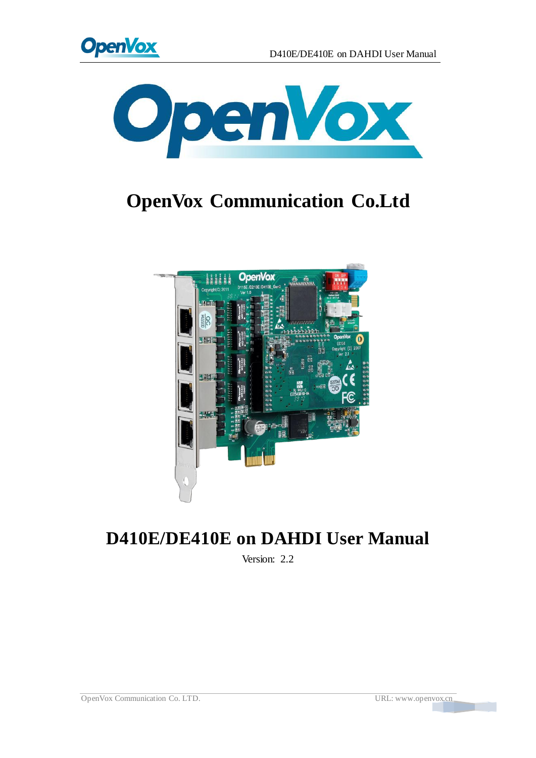



# **OpenVox Communication Co.Ltd**



# **D410E/DE410E on DAHDI User Manual**

Version: 2.2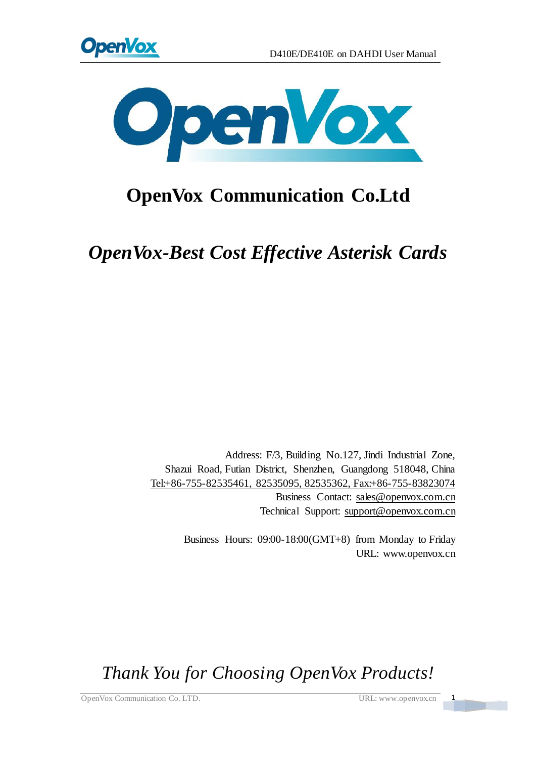



# **OpenVox Communication Co.Ltd**

*OpenVox-Best Cost Effective Asterisk Cards*

Address: F/3, Building No.127, Jindi Industrial Zone, Shazui Road, Futian District, Shenzhen, Guangdong 518048, China Tel:+86-755-82535461, 82535095, 82535362, Fax:+86-755-83823074 Business Contact: sales@openvox.com.cn Technical Support[: support@openvox.com.cn](mailto:support@openvox.com.cn)

> Business Hours: 09:00-18:00(GMT+8) from Monday to Friday URL: www.openvox.cn

*Thank You for Choosing OpenVox Products!*

OpenVox Communication Co. LTD. URL: www.openvox.cn 1

 $\frac{1}{\sqrt{2}}$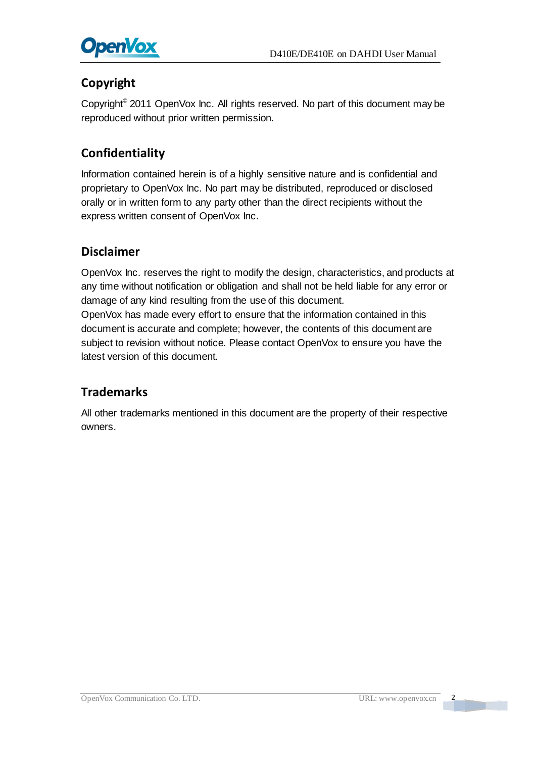

### **Copyright**

Copyright© 2011 OpenVox Inc. All rights reserved. No part of this document may be reproduced without prior written permission.

### **Confidentiality**

Information contained herein is of a highly sensitive nature and is confidential and proprietary to OpenVox Inc. No part may be distributed, reproduced or disclosed orally or in written form to any party other than the direct recipients without the express written consent of OpenVox Inc.

#### **Disclaimer**

OpenVox Inc. reserves the right to modify the design, characteristics, and products at any time without notification or obligation and shall not be held liable for any error or damage of any kind resulting from the use of this document.

OpenVox has made every effort to ensure that the information contained in this document is accurate and complete; however, the contents of this document are subject to revision without notice. Please contact OpenVox to ensure you have the latest version of this document.

#### **Trademarks**

All other trademarks mentioned in this document are the property of their respective owners.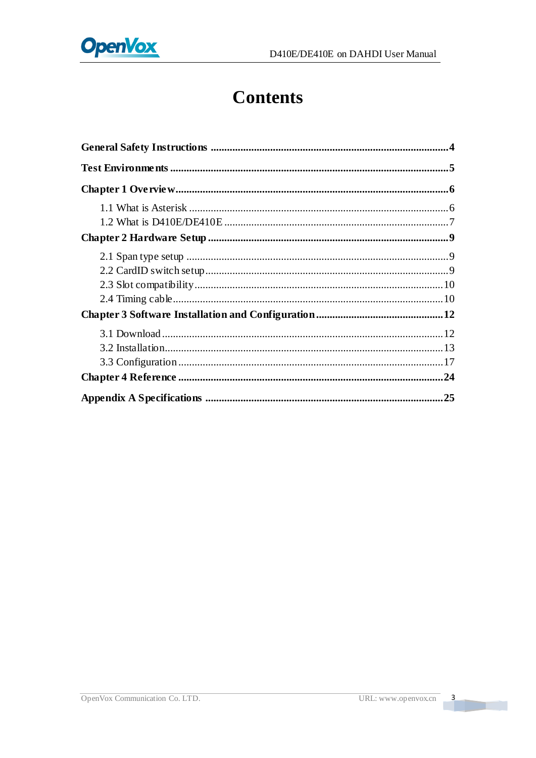

# **Contents**

 $\overline{\phantom{a}}$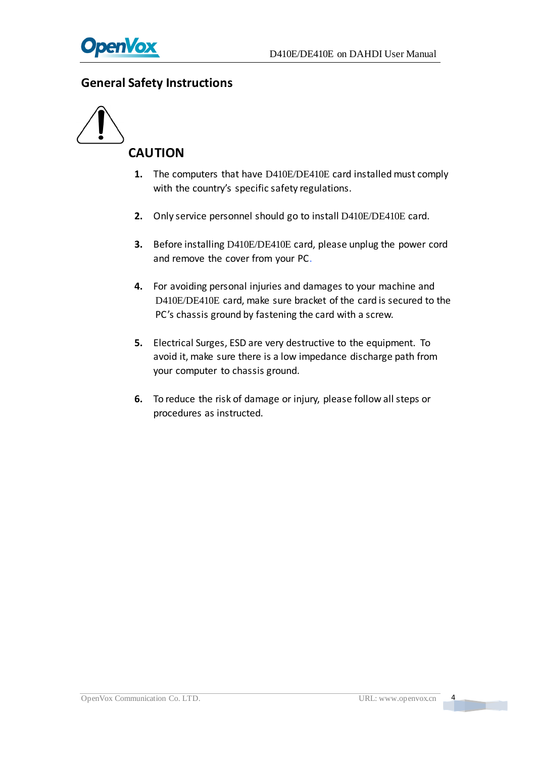

#### <span id="page-4-0"></span>**General Safety Instructions**



- **1.** The computers that have D410E/DE410E card installed must comply with the country's specific safety regulations.
- **2.** Only service personnel should go to install D410E/DE410E card.
- **3.** Before installing D410E/DE410E card, please unplug the power cord and remove the cover from your PC.
- **4.** For avoiding personal injuries and damages to your machine and D410E/DE410E card, make sure bracket of the card is secured to the PC's chassis ground by fastening the card with a screw.
- **5.** Electrical Surges, ESD are very destructive to the equipment. To avoid it, make sure there is a low impedance discharge path from your computer to chassis ground.
- **6.** To reduce the risk of damage or injury, please follow all steps or procedures as instructed.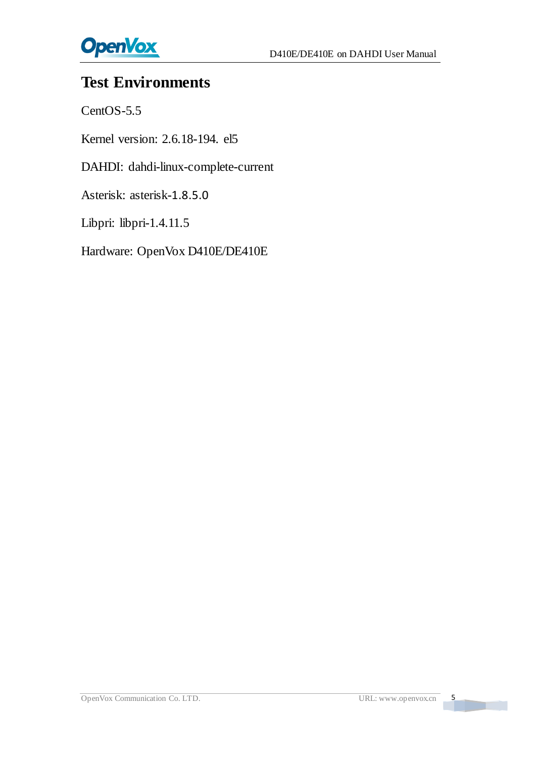

# <span id="page-5-0"></span>**Test Environments**

CentOS-5.5

Kernel version: 2.6.18-194. el5

DAHDI: dahdi-linux-complete-current

Asterisk: asterisk-1.8.5.0

Libpri: libpri-1.4.11.5

Hardware: OpenVox D410E/DE410E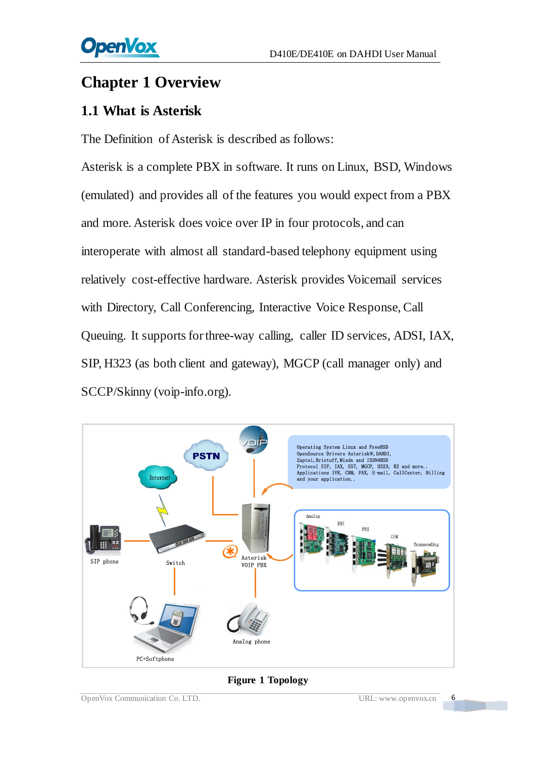# <span id="page-6-0"></span>**Chapter 1 Overview**

## <span id="page-6-1"></span>**1.1 What is Asterisk**

The Definition of Asterisk is described as follows:

Asterisk is a complete PBX in software. It runs on Linux, BSD, Windows (emulated) and provides all of the features you would expect from a PBX and more. Asterisk does voice over IP in four protocols, and can interoperate with almost all standard-based telephony equipment using relatively cost-effective hardware. Asterisk provides Voicemail services with Directory, Call Conferencing, Interactive Voice Response, Call Queuing. It supports for three-way calling, caller ID services, ADSI, IAX, SIP, H323 (as both client and gateway), MGCP (call manager only) and SCCP/Skinny (voip-info.org).



#### **Figure 1 Topology**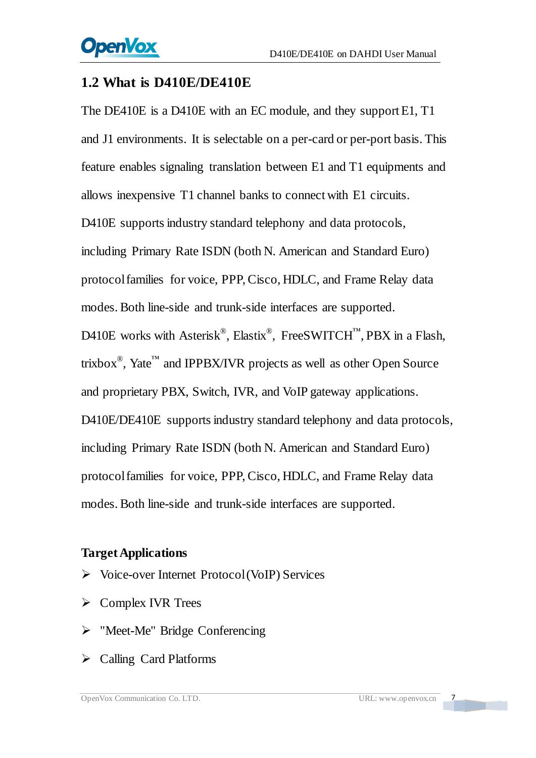### <span id="page-7-0"></span>**1.2 What is D410E/DE410E**

The DE410E is a D410E with an EC module, and they support E1, T1 and J1 environments. It is selectable on a per-card or per-port basis. This feature enables signaling translation between E1 and T1 equipments and allows inexpensive T1 channel banks to connect with E1 circuits. D410E supports industry standard telephony and data protocols, including Primary Rate ISDN (both N. American and Standard Euro) protocol families for voice, PPP, Cisco, HDLC, and Frame Relay data modes. Both line-side and trunk-side interfaces are supported. D410E works with Asterisk<sup>®</sup>, Elastix<sup>®</sup>, FreeSWITCH<sup>™</sup>, PBX in a Flash, trixbox<sup>®</sup>, Yate<sup>™</sup> and IPPBX/IVR projects as well as other Open Source and proprietary PBX, Switch, IVR, and VoIP gateway applications. D410E/DE410E supports industry standard telephony and data protocols, including Primary Rate ISDN (both N. American and Standard Euro) protocol families for voice, PPP, Cisco, HDLC, and Frame Relay data modes. Both line-side and trunk-side interfaces are supported.

#### **Target Applications**

- $\triangleright$  Voice-over Internet Protocol (VoIP) Services
- $\triangleright$  Complex IVR Trees
- > "Meet-Me" Bridge Conferencing
- $\triangleright$  Calling Card Platforms

 $\overline{\phantom{0}}$ 

a mar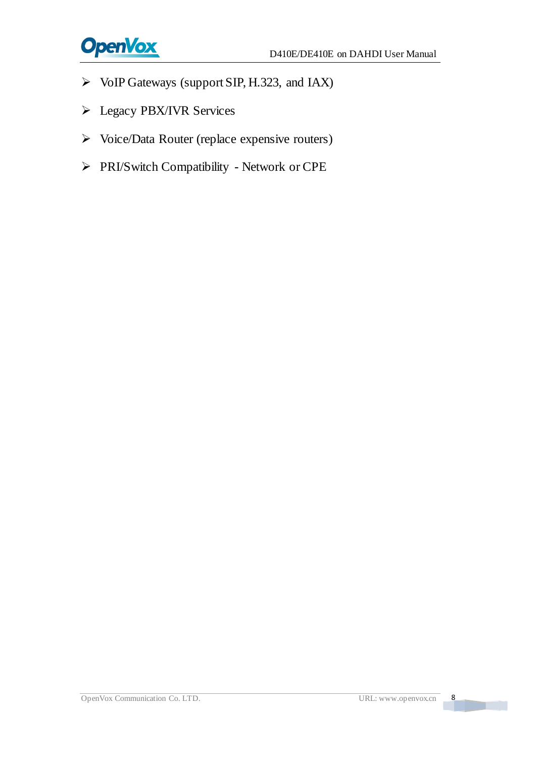

- VoIP Gateways (support SIP, H.323, and IAX)
- Legacy PBX/IVR Services
- Voice/Data Router (replace expensive routers)
- PRI/Switch Compatibility Network or CPE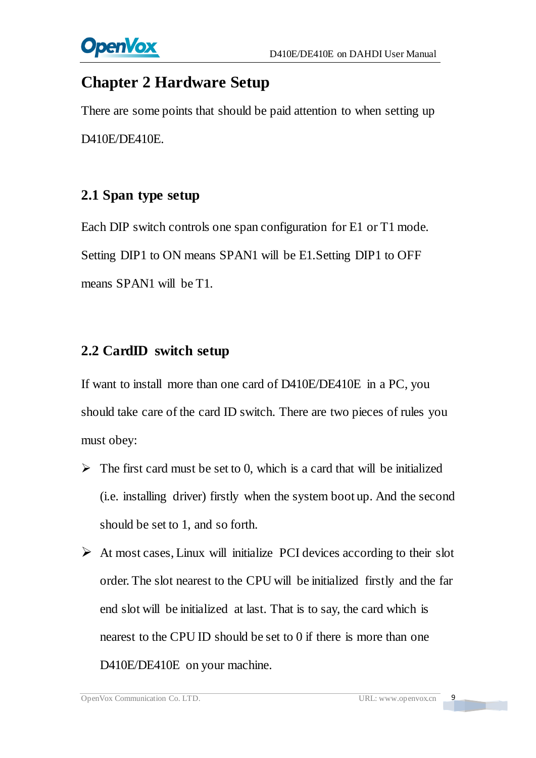

## <span id="page-9-0"></span>**Chapter 2 Hardware Setup**

There are some points that should be paid attention to when setting up D410E/DE410E.

### <span id="page-9-1"></span>**2.1 Span type setup**

Each DIP switch controls one span configuration for E1 or T1 mode. Setting DIP1 to ON means SPAN1 will be E1.Setting DIP1 to OFF means SPAN1 will be T1.

### <span id="page-9-2"></span>**2.2 CardID switch setup**

If want to install more than one card of D410E/DE410E in a PC, you should take care of the card ID switch. There are two pieces of rules you must obey:

- $\triangleright$  The first card must be set to 0, which is a card that will be initialized (i.e. installing driver) firstly when the system boot up. And the second should be set to 1, and so forth.
- $\triangleright$  At most cases, Linux will initialize PCI devices according to their slot order. The slot nearest to the CPU will be initialized firstly and the far end slot will be initialized at last. That is to say, the card which is nearest to the CPU ID should be set to 0 if there is more than one D410E/DE410E on your machine.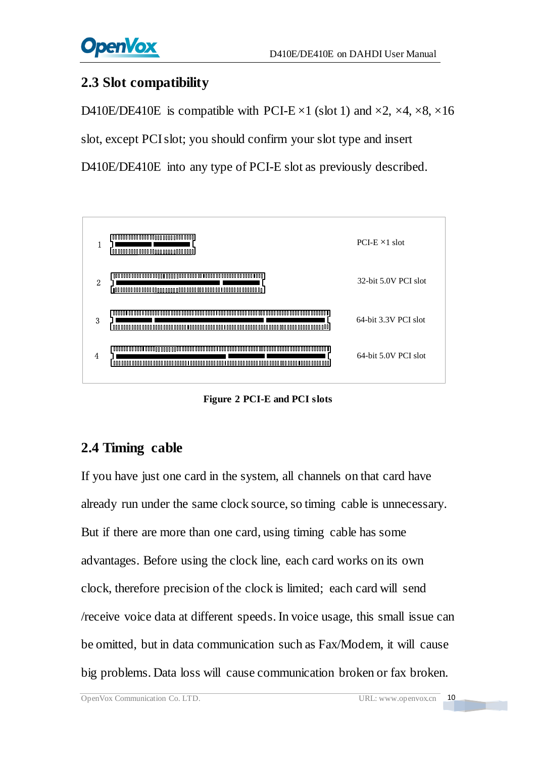## <span id="page-10-0"></span>**2.3 Slot compatibility**

D410E/DE410E is compatible with PCI-E  $\times$ 1 (slot 1) and  $\times$ 2,  $\times$ 4,  $\times$ 8,  $\times$ 16

slot, except PCI slot; you should confirm your slot type and insert

D410E/DE410E into any type of PCI-E slot as previously described.



**Figure 2 PCI-E and PCI slots**

## <span id="page-10-1"></span>**2.4 Timing cable**

If you have just one card in the system, all channels on that card have already run under the same clock source, so timing cable is unnecessary. But if there are more than one card, using timing cable has some advantages. Before using the clock line, each card works on its own clock, therefore precision of the clock is limited; each card will send /receive voice data at different speeds. In voice usage, this small issue can be omitted, but in data communication such as Fax/Modem, it will cause big problems. Data loss will cause communication broken or fax broken.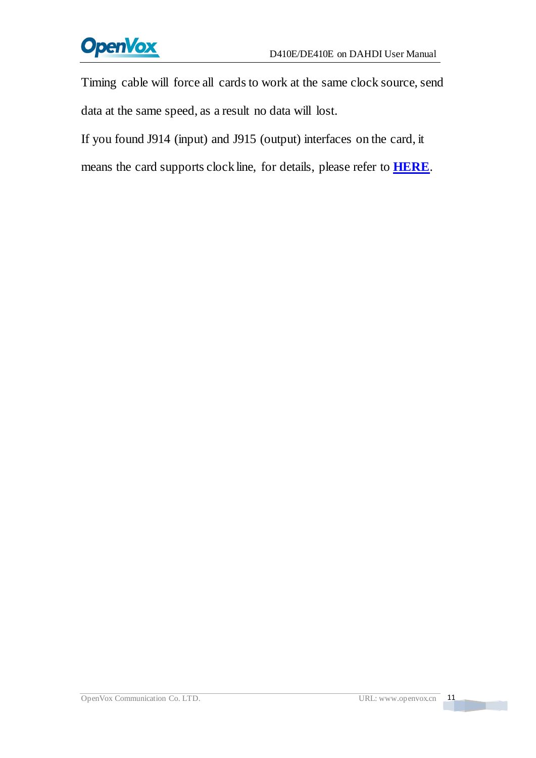

Timing cable will force all cards to work at the same clock source, send data at the same speed, as a result no data will lost.

If you found J914 (input) and J915 (output) interfaces on the card, it

means the card supports clock line, for details, please refer to **[HERE](http://bbs.openvox.cn/viewthread.php?tid=874&extra=page%3D1)**.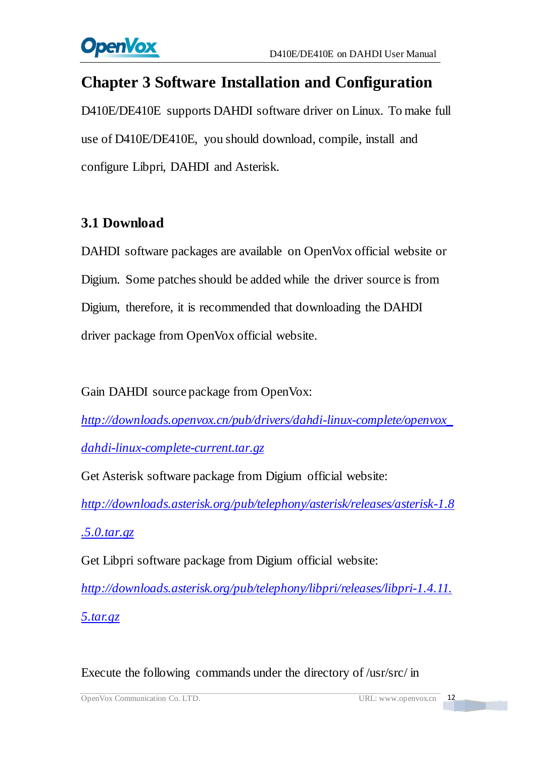

# <span id="page-12-0"></span>**Chapter 3 Software Installation and Configuration**

D410E/DE410E supports DAHDI software driver on Linux. To make full use of D410E/DE410E, you should download, compile, install and configure Libpri, DAHDI and Asterisk.

### <span id="page-12-1"></span>**3.1 Download**

DAHDI software packages are available on OpenVox official website or Digium. Some patches should be added while the driver source is from Digium, therefore, it is recommended that downloading the DAHDI driver package from OpenVox official website.

Gain DAHDI source package from OpenVox:

*[http://downloads.openvox.cn/pub/drivers/dahdi-linux-complete/openvox\\_](http://downloads.openvox.cn/pub/drivers/dahdi-linux-complete/openvox_dahdi-linux-complete-current.tar.gz) [dahdi-linux-complete-current.tar.gz](http://downloads.openvox.cn/pub/drivers/dahdi-linux-complete/openvox_dahdi-linux-complete-current.tar.gz)*

Get Asterisk software package from Digium official website:

*[http://downloads.asterisk.org/pub/telephony/asterisk/releases/asterisk-1.8](http://downloads.asterisk.org/pub/telephony/asterisk/releases/asterisk-1.8.5.0.tar.gz)*

*[.5.0.tar.gz](http://downloads.asterisk.org/pub/telephony/asterisk/releases/asterisk-1.8.5.0.tar.gz)*

Get Libpri software package from Digium official website:

*[http://downloads.asterisk.org/pub/telephony/libpri/releases/libpri-1.4.11.](http://downloads.asterisk.org/pub/telephony/libpri/releases/libpri-1.4.11.5.tar.gz) [5.tar.gz](http://downloads.asterisk.org/pub/telephony/libpri/releases/libpri-1.4.11.5.tar.gz)*

Execute the following commands under the directory of /usr/src/ in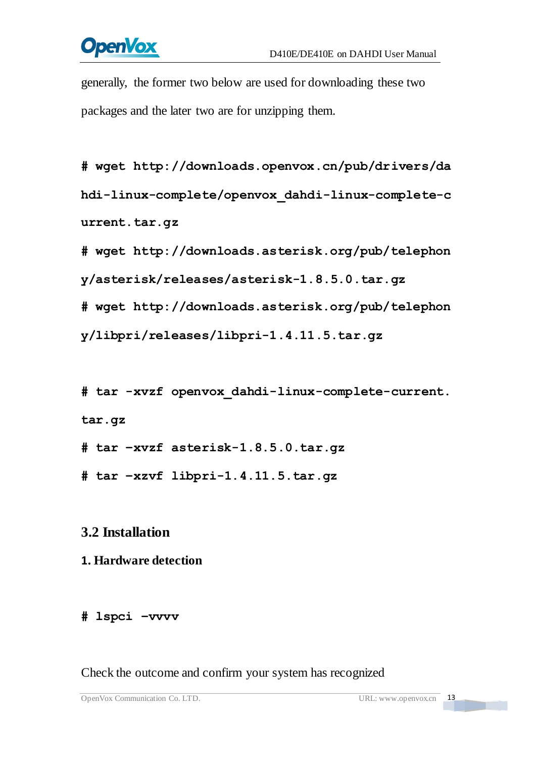# **OpenVox**

generally, the former two below are used for downloading these two packages and the later two are for unzipping them.

**#\_wget[\\_http://downloads.openvox.cn/pub/drivers/da](http://downloads.openvox.cn/pub/drivers/dahdi-linux-complete/openvox_dahdi-linux-complete-current.tar.gz) [hdi-linux-complete/openvox\\_dahdi-linux-complete-c](http://downloads.openvox.cn/pub/drivers/dahdi-linux-complete/openvox_dahdi-linux-complete-current.tar.gz) [urrent.tar.gz](http://downloads.openvox.cn/pub/drivers/dahdi-linux-complete/openvox_dahdi-linux-complete-current.tar.gz)**

**#\_wget[\\_http://downloads.asterisk.org/pub/telephon](http://downloads.asterisk.org/pub/telephony/asterisk/releases/) [y/asterisk/releases/a](http://downloads.asterisk.org/pub/telephony/asterisk/releases/)sterisk-1.8.5.0.tar.gz**

**#\_wget[\\_http://downloads.asterisk.org/pub/telephon](http://downloads.asterisk.org/pub/telephony/libpri/releases/libpri-1.4.11.5.tar.gz)**

**[y/libpri/releases/libpri-1.4.11.5.tar.gzt](http://downloads.asterisk.org/pub/telephony/libpri/releases/libpri-1.4.11.5.tar.gz)ibpri-1.**

**#\_tar\_-xvzf\_openvox\_dahdi-linux-complete-current. tar.gz**

**# tar –xvzf asterisk-1.8.5.0.tar.gz**

**# tar –xzvf libpri-1.4.11.5.tar.gz**

## <span id="page-13-0"></span>**3.2 Installation**

### **1. Hardware detection**

#### **# lspci –vvvv**

Check the outcome and confirm your system has recognized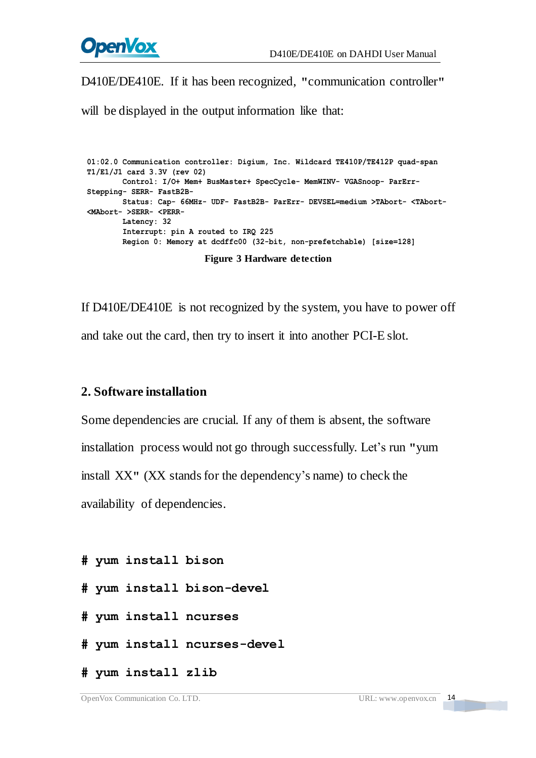

D410E/DE410E. If it has been recognized, **"**communication controller**"**

will be displayed in the output information like that:

**01:02.0 Communication controller: Digium, Inc. Wildcard TE410P/TE412P quad-span T1/E1/J1 card 3.3V (rev 02) Control: I/O+ Mem+ BusMaster+ SpecCycle- MemWINV- VGASnoop- ParErr- Stepping- SERR- FastB2B- Status: Cap- 66MHz- UDF- FastB2B- ParErr- DEVSEL=medium >TAbort- <TAbort- <MAbort- >SERR- <PERR- Latency: 32 Interrupt: pin A routed to IRQ 225 Region 0: Memory at dcdffc00 (32-bit, non-prefetchable) [size=128]**

**Figure 3 Hardware detection**

If D410E/DE410E is not recognized by the system, you have to power off and take out the card, then try to insert it into another PCI-E slot.

#### **2. Software installation**

Some dependencies are crucial. If any of them is absent, the software installation process would not go through successfully. Let's run **"**yum install XX**"** (XX stands for the dependency's name) to check the availability of dependencies.

```
# yum install bison
```
- **# yum install bison-devel**
- **# yum install ncurses**
- **# yum install ncurses-devel**
- **# yum install zlib**

14

<u> Tanzania de la pro</u>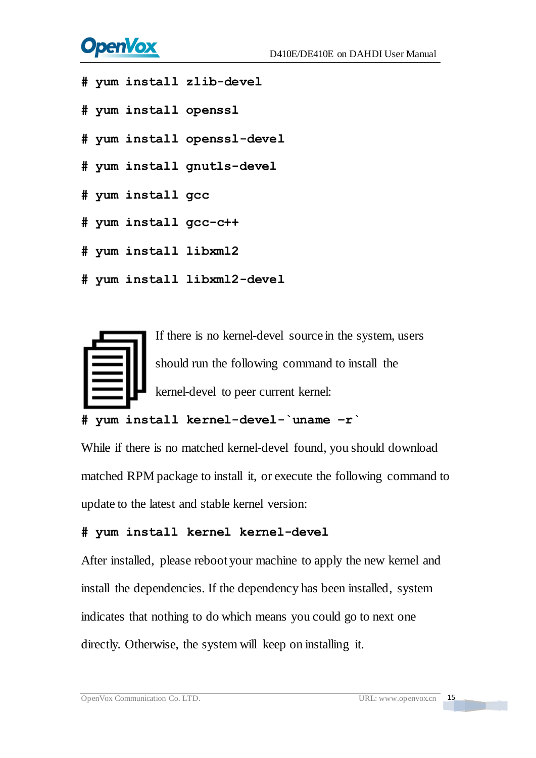# **OpenVox**

- **# yum install zlib-devel**
- **# yum install openssl**
- **# yum install openssl-devel**
- **# yum install gnutls-devel**
- **# yum install gcc**
- **# yum install gcc-c++**
- **# yum install libxml2**
- **# yum install libxml2-devel**



#### **# yum install kernel-devel-`uname –r`**

While if there is no matched kernel-devel found, you should download matched RPM package to install it, or execute the following command to update to the latest and stable kernel version:

#### **# yum install kernel kernel-devel**

After installed, please reboot your machine to apply the new kernel and install the dependencies. If the dependency has been installed, system indicates that nothing to do which means you could go to next one directly. Otherwise, the system will keep on installing it.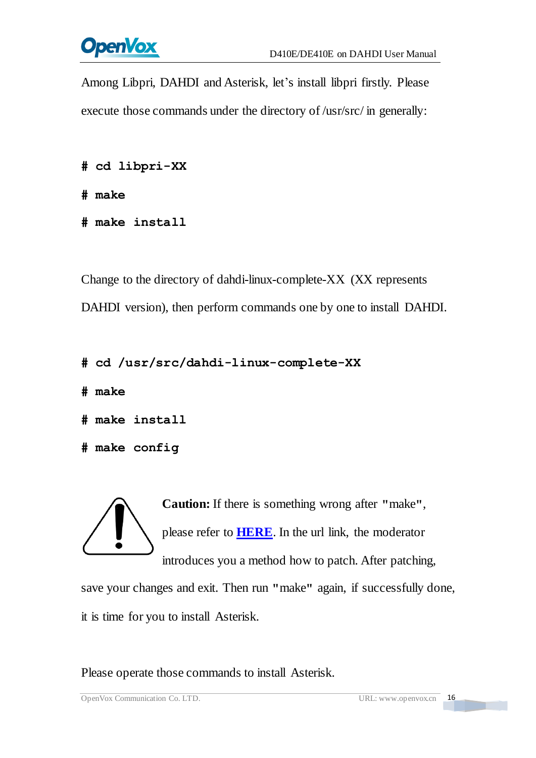

Among Libpri, DAHDI and Asterisk, let's install libpri firstly. Please execute those commands under the directory of /usr/src/ in generally:

```
# cd libpri-XX
```
**# make**

**# make install** 

Change to the directory of dahdi-linux-complete-XX (XX represents DAHDI version), then perform commands one by one to install DAHDI.

```
# cd /usr/src/dahdi-linux-complete-XX
```
**# make**

```
# make install
```

```
# make config
```
**Caution:** If there is something wrong after **"**make**"**, please refer to **[HERE](http://bbs.openvox.cn/viewthread.php?tid=1557&extra=page%3D1)**. In the url link, the moderator introduces you a method how to patch. After patching,

save your changes and exit. Then run **"**make**"** again, if successfully done, it is time for you to install Asterisk.

Please operate those commands to install Asterisk.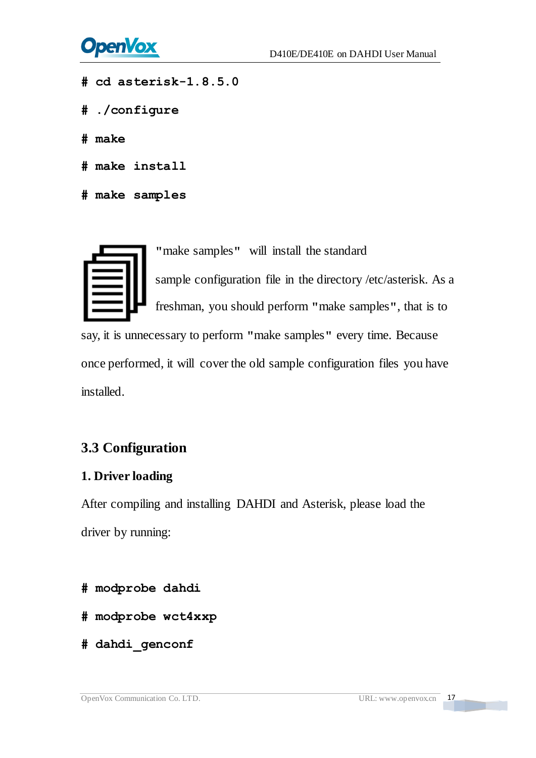

- **# cd asterisk-1.8.5.0**
- **# ./configure**
- **# make**
- **# make install**
- **# make samples**



**"**make samples**"** will install the standard

sample [configuration](http://www.voip-info.org/wiki/view/Asterisk+config+files) file in the directory /etc/asterisk. As a freshman, you should perform **"**make samples**"**, that is to

say, it is unnecessary to perform **"**make samples**"** every time. Because once performed, it will cover the old sample configuration files you have installed.

#### <span id="page-17-0"></span>**3.3 Configuration**

#### **1. Driver loading**

After compiling and installing DAHDI and Asterisk, please load the driver by running:

- **# modprobe dahdi**
- **# modprobe wct4xxp**
- **# dahdi\_genconf**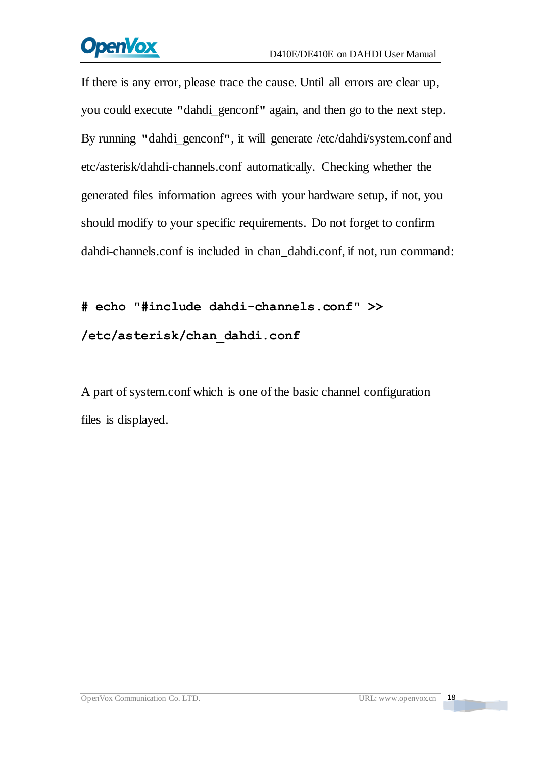# **OpenVox**

If there is any error, please trace the cause. Until all errors are clear up, you could execute **"**dahdi\_genconf**"** again, and then go to the next step. By running **"**dahdi\_genconf**"**, it will generate /etc/dahdi/system.conf and etc/asterisk/dahdi-channels.conf automatically. Checking whether the generated files information agrees with your hardware setup, if not, you should modify to your specific requirements. Do not forget to confirm dahdi-channels.conf is included in chan\_dahdi.conf, if not, run command:

# **# echo "#include dahdi-channels.conf" >> /etc/asterisk/chan\_dahdi.conf**

A part of system.conf which is one of the basic channel configuration files is displayed.

a Tanzania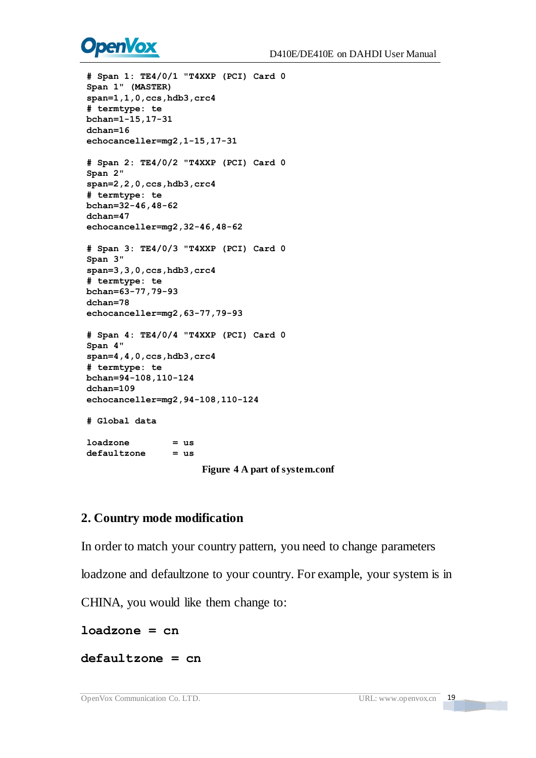# **OpenVox**

*i* span 1: TR4/01<br>  $\beta$  and 1: TR4/201 "Texac (FCI) card 0<br>
Span 1 · (0,697ER) -  $\alpha$ , hold, are<br>
phenonic 5.<br>
behasedles=mag2, 1-15, 17-31<br>
chhean-16 is .<br>
chhean-16 is .<br>
changed 2.2, 0, con, holds, or<br>
is example 2.2,

**Figure 4 A part of system.conf**

#### **2. Country mode modification**

In order to match your country pattern, you need to change parameters

loadzone and defaultzone to your country. For example, your system is in

CHINA, you would like them change to:

**loadzone = cn** 

**defaultzone = cn** 

**The Co**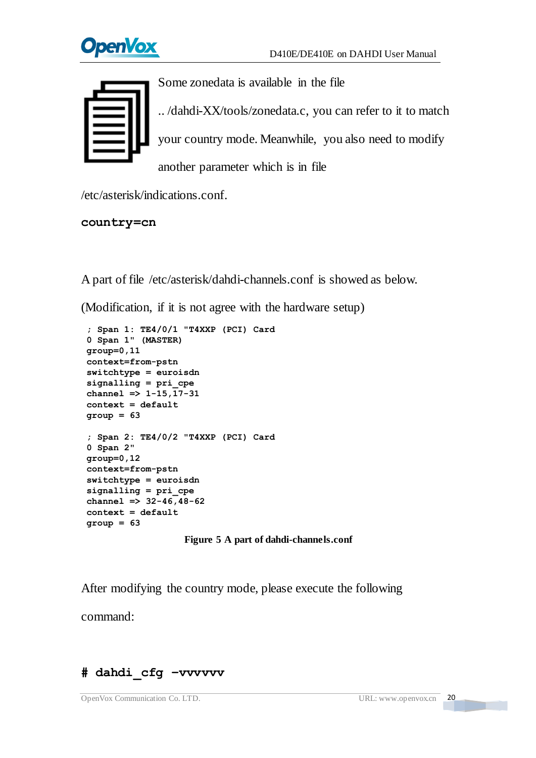



Some zonedata is available in the file

.. /dahdi-XX/tools/zonedata.c, you can refer to it to match your country mode. Meanwhile, you also need to modify another parameter which is in file

/etc/asterisk/indications.conf.

#### **country=cn**

A part of file /etc/asterisk/dahdi-channels.conf is showed as below.

(Modification, if it is not agree with the hardware setup)

```
; Span 1: TE4/0/1 "T4XXP (PCI) Card 0 Span 1" (MASTER) group=0,11 context=from-pstn switchtype = euroisdn signalling = pri_cpe channel => 1-15,17-31 context = default group = 63 ; Span 2: TE4/0/2 "T4XXP (PCI) Card 0 Span 2" group=0,12 context=from-pstn switchtype = euroisdn signalling = pri_cpe channel => 32-46,48-62 context = default group = 63
```
#### **Figure 5 A part of dahdi-channels.conf**

After modifying the country mode, please execute the following command:

#### **# dahdi\_cfg –vvvvvv**

 $20$ 

**The Co**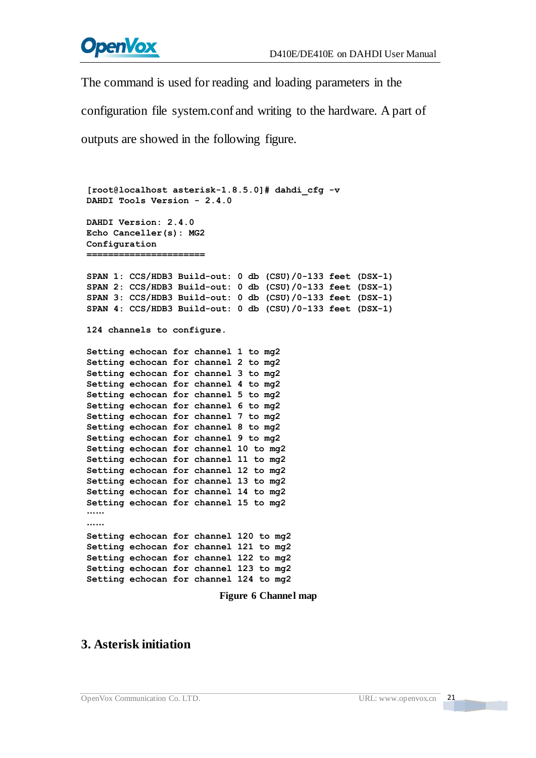

The command is used for reading and loading parameters in the

configuration file system.conf and writing to the hardware. A part of

outputs are showed in the following figure.

```
[root@localhost asterisk-1.8.5.0]# dahdi_cfg -v DAHDI Tools Version - 2.4.0 DAHDI Version: 2.4.0 Echo Canceller(s): MG2 Configuration ====================== SPAN 1: CCS/HDB3 Build-out: 0 db (CSU)/0-133 feet (DSX-1) SPAN 2: CCS/HDB3 Build-out: 0 db (CSU)/0-133 feet (DSX-1) SPAN 3: CCS/HDB3 Build-out: 0 db (CSU)/0-133 feet (DSX-1) SPAN 4: CCS/HDB3 Build-out: 0 db (CSU)/0-133 feet (DSX-1) 124 channels to configure. Setting echocan for channel 1 to mg2 Setting echocan for channel 2 to mg2 Setting echocan for channel 3 to mg2 Setting echocan for channel 4 to mg2 Setting echocan for channel 5 to mg2 Setting echocan for channel 6 to mg2 Setting echocan for channel 7 to mg2 Setting echocan for channel 8 to mg2 Setting echocan for channel 9 to mg2 Setting echocan for channel 10 to mg2 Setting echocan for channel 11 to mg2 Setting echocan for channel 12 to mg2 Setting echocan for channel 13 to mg2 Setting echocan for channel 14 to mg2 Setting echocan for channel 15 to mg2 ……
……
Setting echocan for channel 120 to mg2 Setting echocan for channel 121 to mg2 Setting echocan for channel 122 to mg2 Setting echocan for channel 123 to mg2 Setting echocan for channel 124 to mg2
```
**Figure 6 Channel map**

#### **3. Asterisk initiation**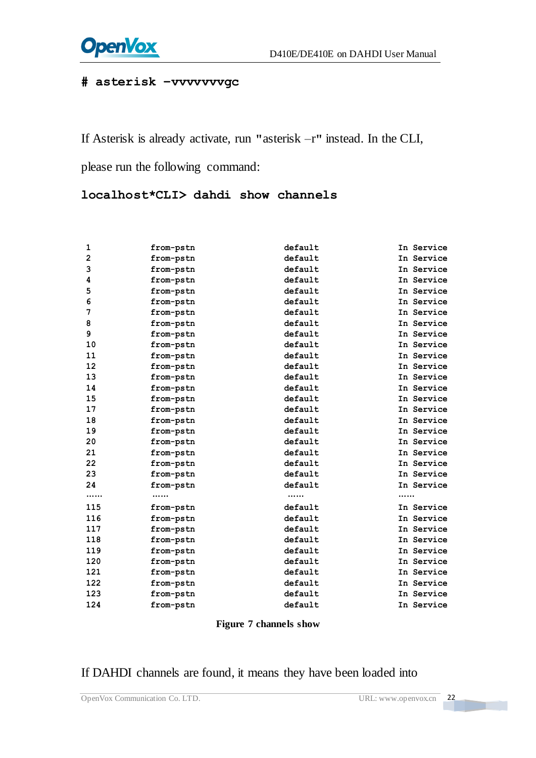

#### **# asterisk –vvvvvvvgc**

If Asterisk is already activate, run **"**asterisk –r**"** instead. In the CLI,

please run the following command:

**localhost\*CLI> dahdi show channels**

| 1              | from-pstn | default | In Service |
|----------------|-----------|---------|------------|
| $\overline{2}$ | from-pstn | default | In Service |
| 3              | from-pstn | default | In Service |
| 4              | from-pstn | default | In Service |
| 5              | from-pstn | default | In Service |
| 6              | from-pstn | default | In Service |
| 7              | from-pstn | default | In Service |
| 8              | from-pstn | default | In Service |
| 9              | from-pstn | default | In Service |
| 10             | from-pstn | default | In Service |
| 11             | from-pstn | default | In Service |
| 12             | from-pstn | default | In Service |
| 13             | from-pstn | default | In Service |
| 14             | from-pstn | default | In Service |
| 15             | from-pstn | default | In Service |
| 17             | from-pstn | default | In Service |
| 18             | from-pstn | default | In Service |
| 19             | from-pstn | default | In Service |
| 20             | from-pstn | default | In Service |
| 21             | from-pstn | default | In Service |
| 22             | from-pstn | default | In Service |
| 23             | from-pstn | default | In Service |
| 24             | from-pstn | default | In Service |
|                |           |         |            |
| 115            | from-pstn | default | In Service |
| 116            | from-pstn | default | In Service |
| 117            | from-pstn | default | In Service |
| 118            | from-pstn | default | In Service |
| 119            | from-pstn | default | In Service |
| 120            | from-pstn | default | In Service |
| 121            | from-pstn | default | In Service |
| 122            | from-pstn | default | In Service |
| 123            | from-pstn | default | In Service |
| 124            | from-pstn | default | In Service |

**Figure 7 channels show**

#### If DAHDI channels are found, it means they have been loaded into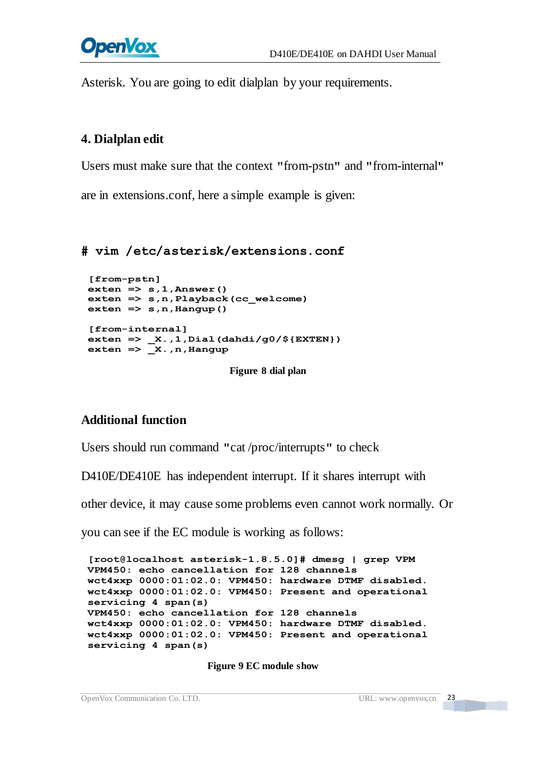

Asterisk. You are going to edit dialplan by your requirements.

#### **4. Dialplan edit**

Users must make sure that the context **"**from-pstn**"** and **"**from-internal**"**

are in extensions.conf, here a simple example is given:

#### **# vim /etc/asterisk/extensions.conf**

```
[from-pstn] exten => s,1,Answer() exten => s,n,Playback(cc_welcome) exten => s,n,Hangup()
[from-internal] exten => _X.,1,Dial(dahdi/g0/${EXTEN}) exten => _X.,n,Hangup
```
**Figure 8 dial plan**

#### **Additional function**

Users should run command **"**cat /proc/interrupts**"** to check

D410E/DE410E has independent interrupt. If it shares interrupt with

other device, it may cause some problems even cannot work normally. Or

you can see if the EC module is working as follows:

**[root@localhost asterisk-1.8.5.0]# dmesg | grep VPM VPM450: echo cancellation for 128 channels wct4xxp 0000:01:02.0: VPM450: hardware DTMF disabled. wct4xxp 0000:01:02.0: VPM450: Present and operational servicing 4 span(s) VPM450: echo cancellation for 128 channels wct4xxp 0000:01:02.0: VPM450: hardware DTMF disabled. wct4xxp 0000:01:02.0: VPM450: Present and operational servicing 4 span(s)**

**Figure 9 EC module show**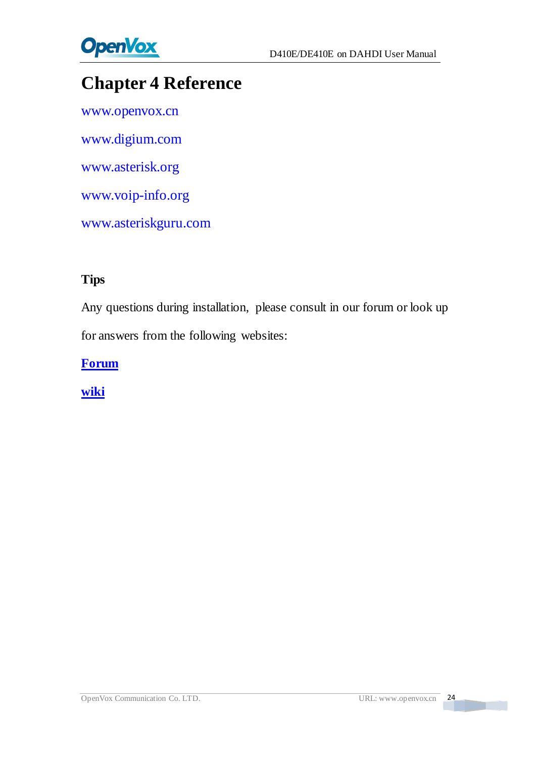

# <span id="page-24-0"></span>**Chapter 4 Reference**

[www.openvox.cn](http://www.openvox.cn/) [www.digium.com](http://www.digium.com/) [www.asterisk.org](http://www.asterisk.org/) [www.voip-info.org](http://www.voip-info.org/) [www.asteriskguru.com](http://www.asteriskguru.com/)

#### **Tips**

Any questions during installation, please consult in our forum or look up for answers from the following websites:

**[Forum](http://bbs.openvox.cn/)**

**[wiki](http://wiki.openvox.cn/index.php/%E9%A6%96%E9%A1%B5)**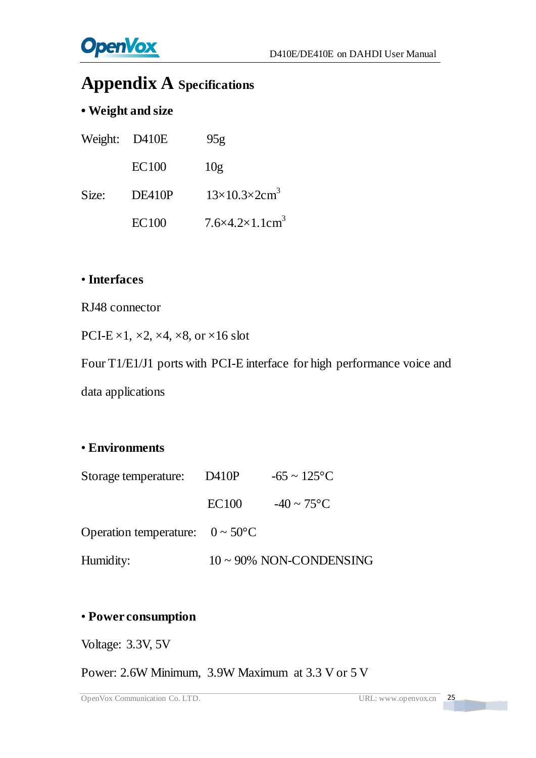# <span id="page-25-0"></span>**Appendix A Specifications**

### **• Weight and size**

| Weight: D410E |              | 95g                                         |
|---------------|--------------|---------------------------------------------|
|               | <b>EC100</b> | 10g                                         |
| Size:         | DE410P       | $13\times10.3\times2$ cm <sup>3</sup>       |
|               | <b>EC100</b> | $7.6 \times 4.2 \times 1.1$ cm <sup>3</sup> |

#### • **Interfaces**

RJ48 connector

PCI-E  $\times$ 1,  $\times$ 2,  $\times$ 4,  $\times$ 8, or  $\times$ 16 slot

Four T1/E1/J1 ports with PCI-E interface for high performance voice and

data applications

#### • **Environments**

| Storage temperature:                         | D410P        | $-65 \sim 125 \text{ C}$      |
|----------------------------------------------|--------------|-------------------------------|
|                                              | <b>EC100</b> | $-40 \sim 75$ °C              |
| Operation temperature: $0 \sim 50 \text{ C}$ |              |                               |
| Humidity:                                    |              | $10 \sim 90\%$ NON-CONDENSING |

#### • **Power consumption**

Voltage: 3.3V, 5V

Power: 2.6W Minimum, 3.9W Maximum at 3.3 V or 5 V